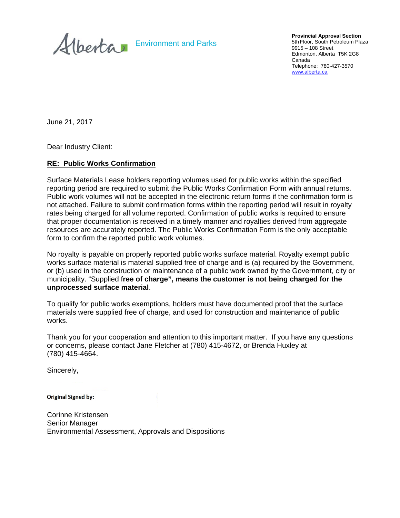Alberta Environment and Parks

**Provincial Approval Section**  5th Floor, South Petroleum Plaza 9915 – 108 Street Edmonton, Alberta T5K 2G8 Canada Telephone: 780-427-3570 www.alberta.ca

June 21, 2017

Dear Industry Client:

## **RE: Public Works Confirmation**

Surface Materials Lease holders reporting volumes used for public works within the specified reporting period are required to submit the Public Works Confirmation Form with annual returns. Public work volumes will not be accepted in the electronic return forms if the confirmation form is not attached. Failure to submit confirmation forms within the reporting period will result in royalty rates being charged for all volume reported. Confirmation of public works is required to ensure that proper documentation is received in a timely manner and royalties derived from aggregate resources are accurately reported. The Public Works Confirmation Form is the only acceptable form to confirm the reported public work volumes.

No royalty is payable on properly reported public works surface material. Royalty exempt public works surface material is material supplied free of charge and is (a) required by the Government, or (b) used in the construction or maintenance of a public work owned by the Government, city or municipality. "Supplied f**ree of charge", means the customer is not being charged for the unprocessed surface material**.

To qualify for public works exemptions, holders must have documented proof that the surface materials were supplied free of charge, and used for construction and maintenance of public works.

Thank you for your cooperation and attention to this important matter. If you have any questions or concerns, please contact Jane Fletcher at (780) 415-4672, or Brenda Huxley at (780) 415-4664.

Sincerely,

**Original Signed by:** 

Corinne Kristensen Senior Manager Environmental Assessment, Approvals and Dispositions